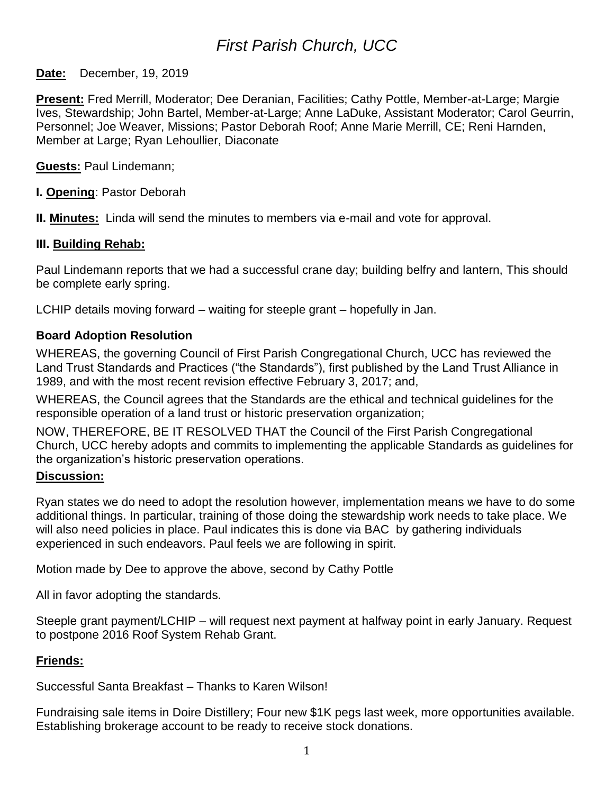# *First Parish Church, UCC*

### **Date:** December, 19, 2019

**Present:** Fred Merrill, Moderator; Dee Deranian, Facilities; Cathy Pottle, Member-at-Large; Margie Ives, Stewardship; John Bartel, Member-at-Large; Anne LaDuke, Assistant Moderator; Carol Geurrin, Personnel; Joe Weaver, Missions; Pastor Deborah Roof; Anne Marie Merrill, CE; Reni Harnden, Member at Large; Ryan Lehoullier, Diaconate

**Guests:** Paul Lindemann;

**I. Opening**: Pastor Deborah

**II. Minutes:** Linda will send the minutes to members via e-mail and vote for approval.

#### **III. Building Rehab:**

Paul Lindemann reports that we had a successful crane day; building belfry and lantern, This should be complete early spring.

LCHIP details moving forward – waiting for steeple grant – hopefully in Jan.

### **Board Adoption Resolution**

WHEREAS, the governing Council of First Parish Congregational Church, UCC has reviewed the Land Trust Standards and Practices ("the Standards"), first published by the Land Trust Alliance in 1989, and with the most recent revision effective February 3, 2017; and,

WHEREAS, the Council agrees that the Standards are the ethical and technical guidelines for the responsible operation of a land trust or historic preservation organization;

NOW, THEREFORE, BE IT RESOLVED THAT the Council of the First Parish Congregational Church, UCC hereby adopts and commits to implementing the applicable Standards as guidelines for the organization's historic preservation operations.

#### **Discussion:**

Ryan states we do need to adopt the resolution however, implementation means we have to do some additional things. In particular, training of those doing the stewardship work needs to take place. We will also need policies in place. Paul indicates this is done via BAC by gathering individuals experienced in such endeavors. Paul feels we are following in spirit.

Motion made by Dee to approve the above, second by Cathy Pottle

All in favor adopting the standards.

Steeple grant payment/LCHIP – will request next payment at halfway point in early January. Request to postpone 2016 Roof System Rehab Grant.

#### **Friends:**

Successful Santa Breakfast – Thanks to Karen Wilson!

Fundraising sale items in Doire Distillery; Four new \$1K pegs last week, more opportunities available. Establishing brokerage account to be ready to receive stock donations.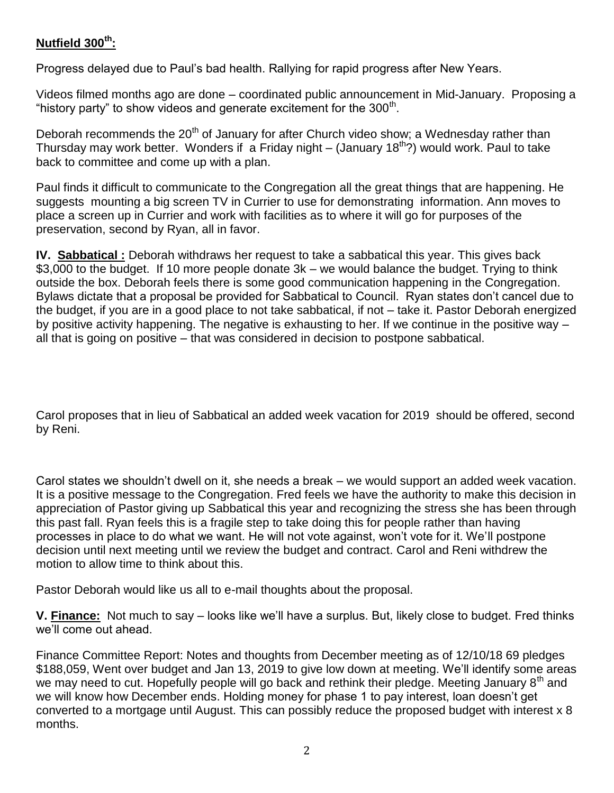# **Nutfield 300th:**

Progress delayed due to Paul's bad health. Rallying for rapid progress after New Years.

Videos filmed months ago are done – coordinated public announcement in Mid-January. Proposing a "history party" to show videos and generate excitement for the  $300<sup>th</sup>$ .

Deborah recommends the 20<sup>th</sup> of January for after Church video show; a Wednesday rather than Thursday may work better. Wonders if a Friday night – (January  $18<sup>th</sup>$ ?) would work. Paul to take back to committee and come up with a plan.

Paul finds it difficult to communicate to the Congregation all the great things that are happening. He suggests mounting a big screen TV in Currier to use for demonstrating information. Ann moves to place a screen up in Currier and work with facilities as to where it will go for purposes of the preservation, second by Ryan, all in favor.

**IV. Sabbatical :** Deborah withdraws her request to take a sabbatical this year. This gives back \$3,000 to the budget. If 10 more people donate 3k – we would balance the budget. Trying to think outside the box. Deborah feels there is some good communication happening in the Congregation. Bylaws dictate that a proposal be provided for Sabbatical to Council. Ryan states don't cancel due to the budget, if you are in a good place to not take sabbatical, if not – take it. Pastor Deborah energized by positive activity happening. The negative is exhausting to her. If we continue in the positive way – all that is going on positive – that was considered in decision to postpone sabbatical.

Carol proposes that in lieu of Sabbatical an added week vacation for 2019 should be offered, second by Reni.

Carol states we shouldn't dwell on it, she needs a break – we would support an added week vacation. It is a positive message to the Congregation. Fred feels we have the authority to make this decision in appreciation of Pastor giving up Sabbatical this year and recognizing the stress she has been through this past fall. Ryan feels this is a fragile step to take doing this for people rather than having processes in place to do what we want. He will not vote against, won't vote for it. We'll postpone decision until next meeting until we review the budget and contract. Carol and Reni withdrew the motion to allow time to think about this.

Pastor Deborah would like us all to e-mail thoughts about the proposal.

**V. Finance:** Not much to say – looks like we'll have a surplus. But, likely close to budget. Fred thinks we'll come out ahead.

Finance Committee Report: Notes and thoughts from December meeting as of 12/10/18 69 pledges \$188,059, Went over budget and Jan 13, 2019 to give low down at meeting. We'll identify some areas we may need to cut. Hopefully people will go back and rethink their pledge. Meeting January 8<sup>th</sup> and we will know how December ends. Holding money for phase 1 to pay interest, loan doesn't get converted to a mortgage until August. This can possibly reduce the proposed budget with interest x 8 months.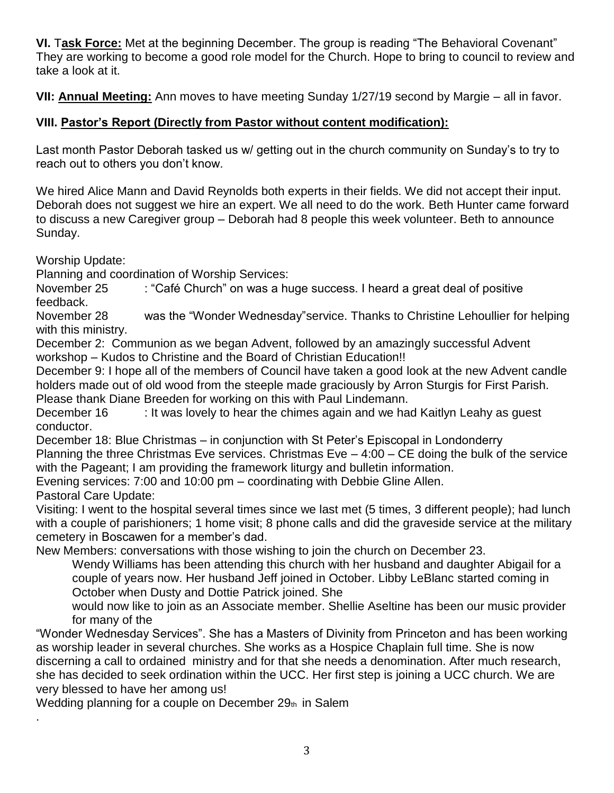**VI.** T**ask Force:** Met at the beginning December. The group is reading "The Behavioral Covenant" They are working to become a good role model for the Church. Hope to bring to council to review and take a look at it.

**VII: Annual Meeting:** Ann moves to have meeting Sunday 1/27/19 second by Margie – all in favor.

# **VIII. Pastor's Report (Directly from Pastor without content modification):**

Last month Pastor Deborah tasked us w/ getting out in the church community on Sunday's to try to reach out to others you don't know.

We hired Alice Mann and David Reynolds both experts in their fields. We did not accept their input. Deborah does not suggest we hire an expert. We all need to do the work. Beth Hunter came forward to discuss a new Caregiver group – Deborah had 8 people this week volunteer. Beth to announce Sunday.

Worship Update:

Planning and coordination of Worship Services:

November 25 : "Café Church" on was a huge success. I heard a great deal of positive feedback.

November 28 was the "Wonder Wednesday"service. Thanks to Christine Lehoullier for helping with this ministry.

December 2: Communion as we began Advent, followed by an amazingly successful Advent workshop – Kudos to Christine and the Board of Christian Education!!

December 9: I hope all of the members of Council have taken a good look at the new Advent candle holders made out of old wood from the steeple made graciously by Arron Sturgis for First Parish. Please thank Diane Breeden for working on this with Paul Lindemann.

December 16 : It was lovely to hear the chimes again and we had Kaitlyn Leahy as guest conductor.

December 18: Blue Christmas – in conjunction with St Peter's Episcopal in Londonderry Planning the three Christmas Eve services. Christmas Eve – 4:00 – CE doing the bulk of the service with the Pageant; I am providing the framework liturgy and bulletin information.

Evening services: 7:00 and 10:00 pm – coordinating with Debbie Gline Allen.

Pastoral Care Update:

.

Visiting: I went to the hospital several times since we last met (5 times, 3 different people); had lunch with a couple of parishioners; 1 home visit; 8 phone calls and did the graveside service at the military cemetery in Boscawen for a member's dad.

New Members: conversations with those wishing to join the church on December 23.

Wendy Williams has been attending this church with her husband and daughter Abigail for a couple of years now. Her husband Jeff joined in October. Libby LeBlanc started coming in October when Dusty and Dottie Patrick joined. She

would now like to join as an Associate member. Shellie Aseltine has been our music provider for many of the

"Wonder Wednesday Services". She has a Masters of Divinity from Princeton and has been working as worship leader in several churches. She works as a Hospice Chaplain full time. She is now discerning a call to ordained ministry and for that she needs a denomination. After much research, she has decided to seek ordination within the UCC. Her first step is joining a UCC church. We are very blessed to have her among us!

Wedding planning for a couple on December  $29<sub>th</sub>$  in Salem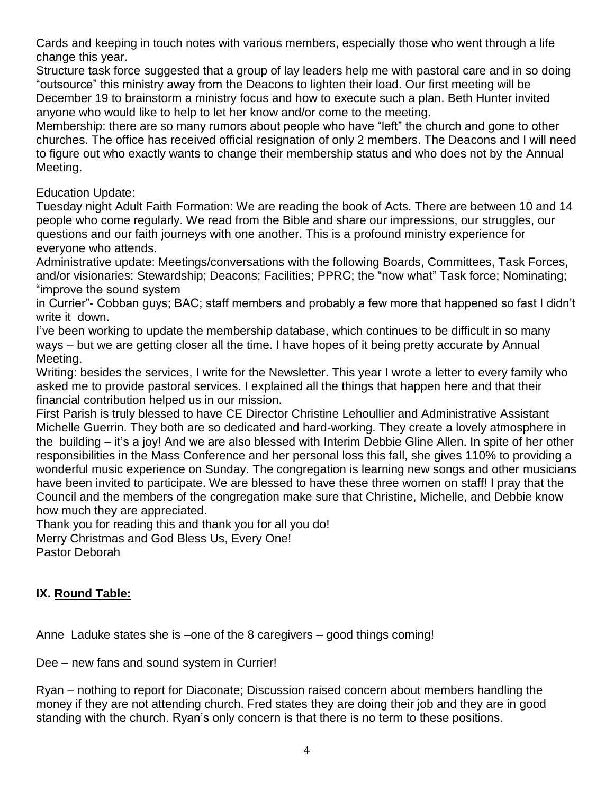Cards and keeping in touch notes with various members, especially those who went through a life change this year.

Structure task force suggested that a group of lay leaders help me with pastoral care and in so doing "outsource" this ministry away from the Deacons to lighten their load. Our first meeting will be December 19 to brainstorm a ministry focus and how to execute such a plan. Beth Hunter invited anyone who would like to help to let her know and/or come to the meeting.

Membership: there are so many rumors about people who have "left" the church and gone to other churches. The office has received official resignation of only 2 members. The Deacons and I will need to figure out who exactly wants to change their membership status and who does not by the Annual Meeting.

## Education Update:

Tuesday night Adult Faith Formation: We are reading the book of Acts. There are between 10 and 14 people who come regularly. We read from the Bible and share our impressions, our struggles, our questions and our faith journeys with one another. This is a profound ministry experience for everyone who attends.

Administrative update: Meetings/conversations with the following Boards, Committees, Task Forces, and/or visionaries: Stewardship; Deacons; Facilities; PPRC; the "now what" Task force; Nominating; "improve the sound system

in Currier"- Cobban guys; BAC; staff members and probably a few more that happened so fast I didn't write it down.

I've been working to update the membership database, which continues to be difficult in so many ways – but we are getting closer all the time. I have hopes of it being pretty accurate by Annual Meeting.

Writing: besides the services, I write for the Newsletter. This year I wrote a letter to every family who asked me to provide pastoral services. I explained all the things that happen here and that their financial contribution helped us in our mission.

First Parish is truly blessed to have CE Director Christine Lehoullier and Administrative Assistant Michelle Guerrin. They both are so dedicated and hard-working. They create a lovely atmosphere in the building – it's a joy! And we are also blessed with Interim Debbie Gline Allen. In spite of her other responsibilities in the Mass Conference and her personal loss this fall, she gives 110% to providing a wonderful music experience on Sunday. The congregation is learning new songs and other musicians have been invited to participate. We are blessed to have these three women on staff! I pray that the Council and the members of the congregation make sure that Christine, Michelle, and Debbie know how much they are appreciated.

Thank you for reading this and thank you for all you do! Merry Christmas and God Bless Us, Every One! Pastor Deborah

# **IX. Round Table:**

Anne Laduke states she is –one of the 8 caregivers – good things coming!

Dee – new fans and sound system in Currier!

Ryan – nothing to report for Diaconate; Discussion raised concern about members handling the money if they are not attending church. Fred states they are doing their job and they are in good standing with the church. Ryan's only concern is that there is no term to these positions.